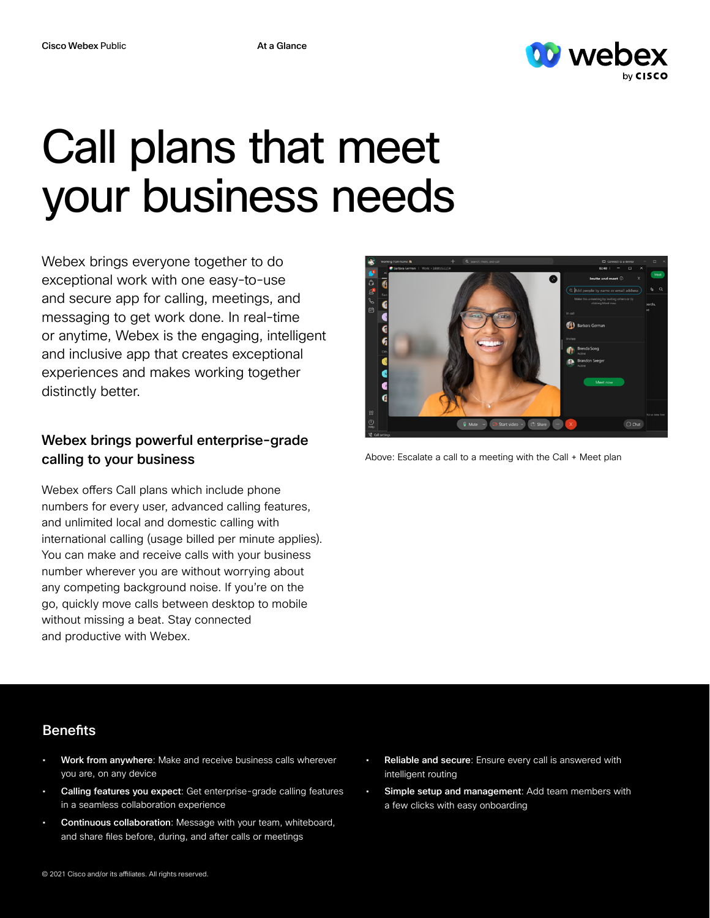

# Call plans that meet your business needs

Webex brings everyone together to do exceptional work with one easy-to-use and secure app for calling, meetings, and messaging to get work done. In real-time or anytime, Webex is the engaging, intelligent and inclusive app that creates exceptional experiences and makes working together distinctly better.

## Webex brings powerful enterprise-grade calling to your business

Webex offers Call plans which include phone numbers for every user, advanced calling features, and unlimited local and domestic calling with international calling (usage billed per minute applies). You can make and receive calls with your business number wherever you are without worrying about any competing background noise. If you're on the go, quickly move calls between desktop to mobile without missing a beat. Stay connected and productive with Webex.



Above: Escalate a call to a meeting with the Call + Meet plan

### **Benefits**

- Work from anywhere: Make and receive business calls wherever you are, on any device
- Calling features you expect: Get enterprise-grade calling features in a seamless collaboration experience
- Continuous collaboration: Message with your team, whiteboard, and share files before, during, and after calls or meetings
- Reliable and secure: Ensure every call is answered with intelligent routing
- Simple setup and management: Add team members with a few clicks with easy onboarding